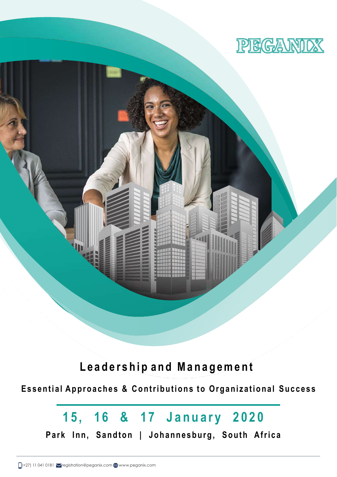

**L e a d e r s h i p a n d M a n a g e m e n t**

**E s s e n t i a l A p p r o a c h e s & C o n t r i b u t i o n s t o O r g a n i z a t i o n a l S u c c e s s**

# 15, 16 & 17 January 2020

Park Inn, Sandton | Johannesburg, South Africa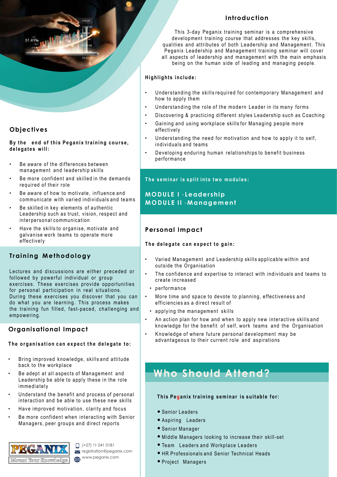

## **Objec tives**

**By the end of this Peganix training course.** delegates will:

- Be aware of the differences between management and leadership skills
- Be more confident and skilled in the demands required of their role
- Be aware of how to motivate, influence and communicate with varied individuals and teams
- Be skilled in key elements of authentic Leadership such as trust, vision, respect and interpersonal communication
- Have the skills to organise, motivate and galvanise work teams to operate more effectively

## **Training Methodology**

Lectures and discussions are either preceded or followed by powerful individual or group exercises. These exercises provide opportunities for personal participation in real situations. During these exercises you discover that you can do what you are learning. This process makes the training fun filled, fast-paced, challenging and empowering.

## **Organisational Impact**

#### The organisation can expect the delegate to:

- Bring improved knowledge, skills and attitude back to the workplace
- Be adept at all aspects of Management and Leadership be able to apply these in the role immediately
- Understand the benefit and process of personal interaction and be able to use these new skills
- Have improved motivation, clarity and focus
- Be more confident when interacting with Senior Managers, peer groups and direct reports



 $\Box$  (+27) 11 041 0181 registration@peganix.com www.peganix.com

## **In t roduc tion**

This 3-day Peganix training seminar is a comprehensive development training course that addresses the key skills, qualities and attributes of both Leadership and Management. This Peganix Leadership and Management training seminar will cover all aspects of leadership and management with the main emphasis being on the human side of leading and managing people.

#### $High lights$  include:

- Understanding the skills required for contemporary Management and how to apply them
- Understanding the role of the modern Leader in its many forms
- Discovering & practicing different styles Leadership such as Coaching
- Gaining and using workplace skills for Managing people more effectively
- Understanding the need for motivation and how to apply it to self, individuals and teams
- Developing enduring human relationships to benefit business performance

#### **The seminar is split into two modules:**

## **MO DU L E I** - **Leade r s h ip MO D U L E II** -**M a n a g em e n t**

## **Personal Impact**

#### The delegate can expect to gain:

- Varied Management and Leadership skills applicable within and outside the Organisation
- The confidence and expertise to interact with individuals and teams to create increased
- performance
- More time and space to devote to planning, effectiveness and efficiencies as a direct result of
	- applying the management skills
- An action plan for how and when to apply new interactive skills and knowledge for the benefit of self, work teams and the Organisation
- Knowledge of where future personal development may be advantageous to their current role and aspirations

## **Who Should Attend?**

#### **This Peganix training seminar is suitable for:**

- Senior Leaders
- Aspiring Leaders
- Senior Manager
- Middle Managers looking to increase their skill-set
- Team Leaders and Workplace Leaders
- HR Professionals and Senior Technical Heads
- Project Managers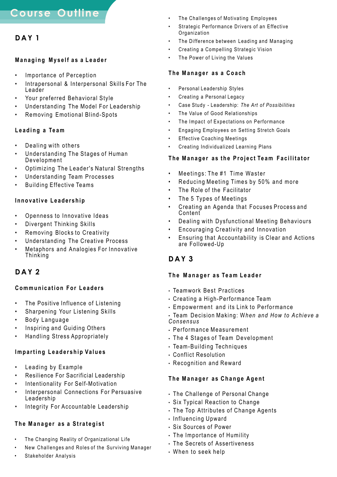## **D A Y 1**

#### **Managing Myself as a Leader**

- Importance of Perception
- Intrapersonal & Interpersonal Skills For The Leader
- Your preferred Behavioral Style
- Understanding The Model For Leadership
- Removing Emotional Blind-Spots

#### Leading a Team

- Dealing with others
- Understanding The Stages of Human Development
- Optimizing The Leader's Natural Strengths
- Understanding Team Processes
- Building Effective Teams

#### **Innovative Leadership**

- Openness to Innovative Ideas
- Divergent Thinking Skills
- Removing Blocks to Creativity
- Understanding The Creative Process
- Metaphors and Analogies For Innovative **Thinking**

## **D A Y 2**

#### **Communication For Leaders**

- The Positive Influence of Listening
- Sharpening Your Listening Skills
- Body Language
- Inspiring and Guiding Others
- Handling Stress Appropriately

#### **I m p a r t i n g L e a d e r s h i p Va l u e s**

- Leading by Example
- Resilience For Sacrificial Leadership
- Intentionality For Self-Motivation
- Interpersonal Connections For Persuasive Leadership
- Integrity For Accountable Leadership

## **The Manager as a Strategist**

- The Changing Reality of Organizational Life
- New Challenges and Roles of the Surviving Manager
- Stakeholder Analysis
- The Challenges of Motivating Employees
- Strategic Performance Drivers of an Effective **Organization**
- The Difference between Leading and Managing
- Creating a Compelling Strategic Vision
- The Power of Living the Values

#### **T h e M a n a g e r a s a C o a c h**

- Personal Leadership Styles
- Creating a Personal Legacy
- Case Study Leadership: *The Art of Possibilities*
- The Value of Good Relationships
- The Impact of Expectations on Performance
- Engaging Employees on Setting Stretch Goals
- **Effective Coaching Meetings**
- Creating Individualized Learning Plans

#### **The Manager as the Project Team Facilitator**

- Meetings: The #1 Time Waster
- Reducing Meeting Times by 50% and more
- The Role of the Facilitator
- The 5 Types of Meetings
- Creating an Agenda that Focuses Process and Content
- Dealing with Dysfunctional Meeting Behaviours
- Encouraging Creativity and Innovation
- Ensuring that Accountability is Clear and Actions are Followed-Up

## **D A Y 3**

#### **The Manager as Team Leader**

- Teamwork Best Practices
- $\cdot$  Creating a High-Performance Team
- Empowerment and its Link to Performance
- Team Decision Making: W*hen and How to Achieve a Consensus*
- $\cdot$  Performance Measurement
- The 4 Stages of Team Development
- Team-Building Techniques
- Conflict Resolution
- Recognition and Reward

#### **The Manager as Change Agent**

- $\cdot$  The Challenge of Personal Change
- Six Typical Reaction to Change
- $\cdot$  The Top Attributes of Change Agents
- Influencing Upward
- Six Sources of Power
- $\cdot$  The Importance of Humility
- The Secrets of Assertiveness
- When to seek help